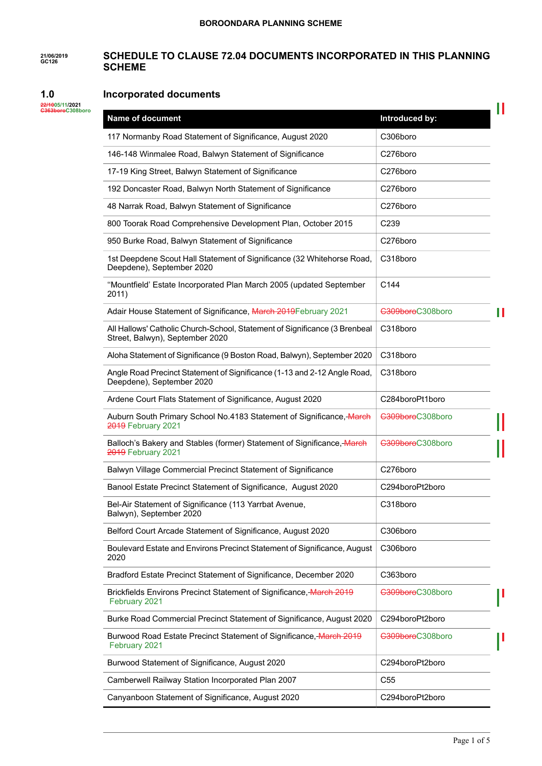#### **21/06/2019 GC126 SCHEDULE TO CLAUSE 72.04 DOCUMENTS INCORPORATED IN THIS PLANNING SCHEME**

#### **1.0 Incorporated documents**

| 22/1005/11/2021  |  |
|------------------|--|
| C363boroC308boro |  |

| <b>Name of document</b>                                                                                       | Introduced by:   |   |
|---------------------------------------------------------------------------------------------------------------|------------------|---|
| 117 Normanby Road Statement of Significance, August 2020                                                      | C306boro         |   |
| 146-148 Winmalee Road, Balwyn Statement of Significance                                                       | C276boro         |   |
| 17-19 King Street, Balwyn Statement of Significance                                                           | C276boro         |   |
| 192 Doncaster Road, Balwyn North Statement of Significance                                                    | C276boro         |   |
| 48 Narrak Road, Balwyn Statement of Significance                                                              | C276boro         |   |
| 800 Toorak Road Comprehensive Development Plan, October 2015                                                  | C <sub>239</sub> |   |
| 950 Burke Road, Balwyn Statement of Significance                                                              | C276boro         |   |
| 1st Deepdene Scout Hall Statement of Significance (32 Whitehorse Road,<br>Deepdene), September 2020           | C318boro         |   |
| "Mountfield' Estate Incorporated Plan March 2005 (updated September<br>2011)                                  | C144             |   |
| Adair House Statement of Significance, March 2019 February 2021                                               | C309boroC308boro | Ш |
| All Hallows' Catholic Church-School, Statement of Significance (3 Brenbeal<br>Street, Balwyn), September 2020 | C318boro         |   |
| Aloha Statement of Significance (9 Boston Road, Balwyn), September 2020                                       | C318boro         |   |
| Angle Road Precinct Statement of Significance (1-13 and 2-12 Angle Road,<br>Deepdene), September 2020         | C318boro         |   |
| Ardene Court Flats Statement of Significance, August 2020                                                     | C284boroPt1boro  |   |
| Auburn South Primary School No.4183 Statement of Significance, March<br>2019 February 2021                    | C309boroC308boro |   |
| Balloch's Bakery and Stables (former) Statement of Significance, March<br>2019 February 2021                  | C309boroC308boro |   |
| Balwyn Village Commercial Precinct Statement of Significance                                                  | C276boro         |   |
| Banool Estate Precinct Statement of Significance, August 2020                                                 | C294boroPt2boro  |   |
| Bel-Air Statement of Significance (113 Yarrbat Avenue,<br>Balwyn), September 2020                             | C318boro         |   |
| Belford Court Arcade Statement of Significance, August 2020                                                   | C306boro         |   |
| Boulevard Estate and Environs Precinct Statement of Significance, August<br>2020                              | C306boro         |   |
| Bradford Estate Precinct Statement of Significance, December 2020                                             | C363boro         |   |
| Brickfields Environs Precinct Statement of Significance, March 2019<br>February 2021                          | C309boroC308boro |   |
| Burke Road Commercial Precinct Statement of Significance, August 2020                                         | C294boroPt2boro  |   |
| Burwood Road Estate Precinct Statement of Significance, March 2019<br>February 2021                           | C309boroC308boro |   |
| Burwood Statement of Significance, August 2020                                                                | C294boroPt2boro  |   |
| Camberwell Railway Station Incorporated Plan 2007                                                             | C <sub>55</sub>  |   |
| Canyanboon Statement of Significance, August 2020                                                             | C294boroPt2boro  |   |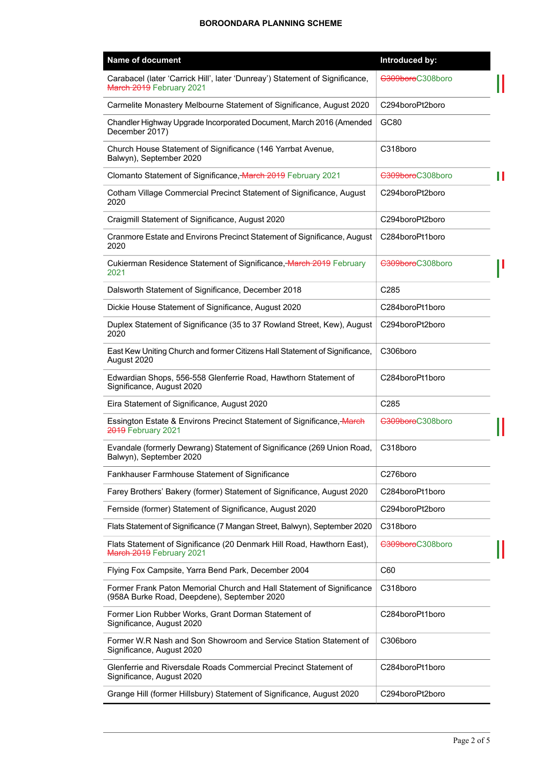| Name of document                                                                                                     | Introduced by:        |
|----------------------------------------------------------------------------------------------------------------------|-----------------------|
| Carabacel (later 'Carrick Hill', later 'Dunreay') Statement of Significance,<br>March 2019 February 2021             | C309boroC308boro      |
| Carmelite Monastery Melbourne Statement of Significance, August 2020                                                 | C294boroPt2boro       |
| Chandler Highway Upgrade Incorporated Document, March 2016 (Amended<br>December 2017)                                | GC80                  |
| Church House Statement of Significance (146 Yarrbat Avenue,<br>Balwyn), September 2020                               | C318boro              |
| Clomanto Statement of Significance, March 2019 February 2021                                                         | C309boroC308boro<br>Ш |
| Cotham Village Commercial Precinct Statement of Significance, August<br>2020                                         | C294boroPt2boro       |
| Craigmill Statement of Significance, August 2020                                                                     | C294boroPt2boro       |
| Cranmore Estate and Environs Precinct Statement of Significance, August<br>2020                                      | C284boroPt1boro       |
| Cukierman Residence Statement of Significance, March 2019 February<br>2021                                           | C309boroC308boro      |
| Dalsworth Statement of Significance, December 2018                                                                   | C285                  |
| Dickie House Statement of Significance, August 2020                                                                  | C284boroPt1boro       |
| Duplex Statement of Significance (35 to 37 Rowland Street, Kew), August<br>2020                                      | C294boroPt2boro       |
| East Kew Uniting Church and former Citizens Hall Statement of Significance,<br>August 2020                           | C306boro              |
| Edwardian Shops, 556-558 Glenferrie Road, Hawthorn Statement of<br>Significance, August 2020                         | C284boroPt1boro       |
| Eira Statement of Significance, August 2020                                                                          | C285                  |
| Essington Estate & Environs Precinct Statement of Significance, March<br><b>2019</b> February 2021                   | C309boroC308boro      |
| Evandale (formerly Dewrang) Statement of Significance (269 Union Road,<br>Balwyn), September 2020                    | C318boro              |
| Fankhauser Farmhouse Statement of Significance                                                                       | C276boro              |
| Farey Brothers' Bakery (former) Statement of Significance, August 2020                                               | C284boroPt1boro       |
| Fernside (former) Statement of Significance, August 2020                                                             | C294boroPt2boro       |
| Flats Statement of Significance (7 Mangan Street, Balwyn), September 2020                                            | C318boro              |
| Flats Statement of Significance (20 Denmark Hill Road, Hawthorn East),<br>March 2019 February 2021                   | C309boroC308boro      |
| Flying Fox Campsite, Yarra Bend Park, December 2004                                                                  | C60                   |
| Former Frank Paton Memorial Church and Hall Statement of Significance<br>(958A Burke Road, Deepdene), September 2020 | C318boro              |
| Former Lion Rubber Works, Grant Dorman Statement of<br>Significance, August 2020                                     | C284boroPt1boro       |
| Former W.R Nash and Son Showroom and Service Station Statement of<br>Significance, August 2020                       | C306boro              |
| Glenferrie and Riversdale Roads Commercial Precinct Statement of<br>Significance, August 2020                        | C284boroPt1boro       |
| Grange Hill (former Hillsbury) Statement of Significance, August 2020                                                | C294boroPt2boro       |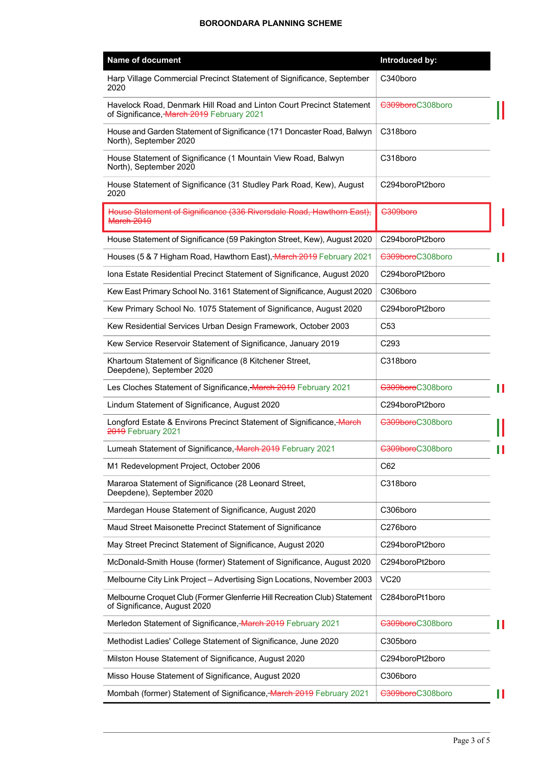| <b>Name of document</b>                                                                                           | Introduced by:   |   |
|-------------------------------------------------------------------------------------------------------------------|------------------|---|
| Harp Village Commercial Precinct Statement of Significance, September<br>2020                                     | C340boro         |   |
| Havelock Road, Denmark Hill Road and Linton Court Precinct Statement<br>of Significance, March 2019 February 2021 | C309boroC308boro |   |
| House and Garden Statement of Significance (171 Doncaster Road, Balwyn<br>North), September 2020                  | C318boro         |   |
| House Statement of Significance (1 Mountain View Road, Balwyn<br>North), September 2020                           | C318boro         |   |
| House Statement of Significance (31 Studley Park Road, Kew), August<br>2020                                       | C294boroPt2boro  |   |
| House Statement of Significance (336 Riversdale Road, Hawthorn East),<br><b>March 2019</b>                        | C309boro         |   |
| House Statement of Significance (59 Pakington Street, Kew), August 2020                                           | C294boroPt2boro  |   |
| Houses (5 & 7 Higham Road, Hawthorn East), March 2019 February 2021                                               | C309boroC308boro |   |
| Iona Estate Residential Precinct Statement of Significance, August 2020                                           | C294boroPt2boro  |   |
| Kew East Primary School No. 3161 Statement of Significance, August 2020                                           | C306boro         |   |
| Kew Primary School No. 1075 Statement of Significance, August 2020                                                | C294boroPt2boro  |   |
| Kew Residential Services Urban Design Framework, October 2003                                                     | C <sub>53</sub>  |   |
| Kew Service Reservoir Statement of Significance, January 2019                                                     | C <sub>293</sub> |   |
| Khartoum Statement of Significance (8 Kitchener Street,<br>Deepdene), September 2020                              | C318boro         |   |
| Les Cloches Statement of Significance, March 2019 February 2021                                                   | C309boroC308boro | Ш |
| Lindum Statement of Significance, August 2020                                                                     | C294boroPt2boro  |   |
| Longford Estate & Environs Precinct Statement of Significance, March<br>2019 February 2021                        | C309boroC308boro |   |
| Lumeah Statement of Significance, March 2019 February 2021                                                        | C309boroC308boro |   |
| M1 Redevelopment Project, October 2006                                                                            | C62              |   |
| Mararoa Statement of Significance (28 Leonard Street,<br>Deepdene), September 2020                                | C318boro         |   |
| Mardegan House Statement of Significance, August 2020                                                             | C306boro         |   |
| Maud Street Maisonette Precinct Statement of Significance                                                         | C276boro         |   |
| May Street Precinct Statement of Significance, August 2020                                                        | C294boroPt2boro  |   |
| McDonald-Smith House (former) Statement of Significance, August 2020                                              | C294boroPt2boro  |   |
| Melbourne City Link Project - Advertising Sign Locations, November 2003                                           | <b>VC20</b>      |   |
| Melbourne Croquet Club (Former Glenferrie Hill Recreation Club) Statement<br>of Significance, August 2020         | C284boroPt1boro  |   |
| Merledon Statement of Significance, March 2019 February 2021                                                      | C309boroC308boro | H |
| Methodist Ladies' College Statement of Significance, June 2020                                                    | C305boro         |   |
| Milston House Statement of Significance, August 2020                                                              | C294boroPt2boro  |   |
| Misso House Statement of Significance, August 2020                                                                | C306boro         |   |
| Mombah (former) Statement of Significance, March 2019 February 2021                                               | C309boroC308boro | Ш |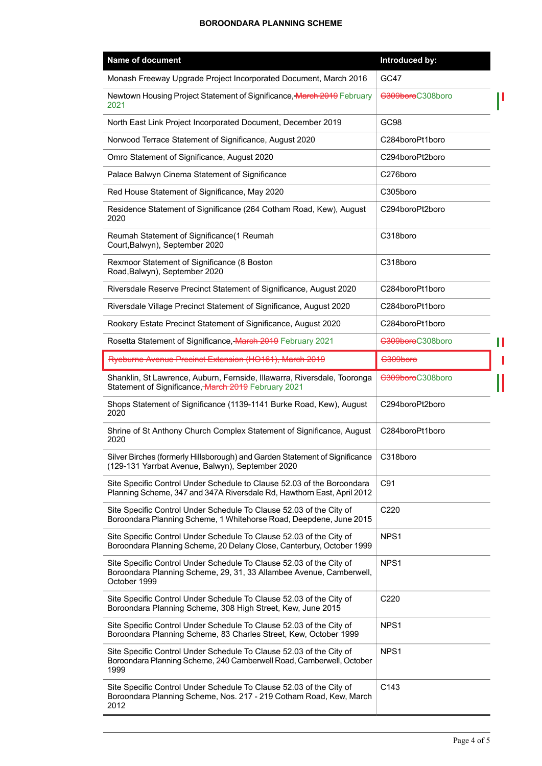| Name of document                                                                                                                                           | Introduced by:   |   |
|------------------------------------------------------------------------------------------------------------------------------------------------------------|------------------|---|
| Monash Freeway Upgrade Project Incorporated Document, March 2016                                                                                           | <b>GC47</b>      |   |
| Newtown Housing Project Statement of Significance, March 2019 February<br>2021                                                                             | C309boroC308boro |   |
| North East Link Project Incorporated Document, December 2019                                                                                               | GC98             |   |
| Norwood Terrace Statement of Significance, August 2020                                                                                                     | C284boroPt1boro  |   |
| Omro Statement of Significance, August 2020                                                                                                                | C294boroPt2boro  |   |
| Palace Balwyn Cinema Statement of Significance                                                                                                             | C276boro         |   |
| Red House Statement of Significance, May 2020                                                                                                              | C305boro         |   |
| Residence Statement of Significance (264 Cotham Road, Kew), August<br>2020                                                                                 | C294boroPt2boro  |   |
| Reumah Statement of Significance(1 Reumah<br>Court, Balwyn), September 2020                                                                                | C318boro         |   |
| Rexmoor Statement of Significance (8 Boston<br>Road, Balwyn), September 2020                                                                               | C318boro         |   |
| Riversdale Reserve Precinct Statement of Significance, August 2020                                                                                         | C284boroPt1boro  |   |
| Riversdale Village Precinct Statement of Significance, August 2020                                                                                         | C284boroPt1boro  |   |
| Rookery Estate Precinct Statement of Significance, August 2020                                                                                             | C284boroPt1boro  |   |
| Rosetta Statement of Significance, March 2019 February 2021                                                                                                | C309boroC308boro | Ш |
| Ryeburne Avenue Precinct Extension (HO161), March 2019                                                                                                     | C309boro         |   |
| Shanklin, St Lawrence, Auburn, Fernside, Illawarra, Riversdale, Tooronga<br>Statement of Significance, March 2019 February 2021                            | C309boroC308boro |   |
| Shops Statement of Significance (1139-1141 Burke Road, Kew), August<br>2020                                                                                | C294boroPt2boro  |   |
| Shrine of St Anthony Church Complex Statement of Significance, August<br>2020                                                                              | C284boroPt1boro  |   |
| Silver Birches (formerly Hillsborough) and Garden Statement of Significance<br>(129-131 Yarrbat Avenue, Balwyn), September 2020                            | C318boro         |   |
| Site Specific Control Under Schedule to Clause 52.03 of the Boroondara<br>Planning Scheme, 347 and 347A Riversdale Rd, Hawthorn East, April 2012           | C91              |   |
| Site Specific Control Under Schedule To Clause 52.03 of the City of<br>Boroondara Planning Scheme, 1 Whitehorse Road, Deepdene, June 2015                  | C220             |   |
| Site Specific Control Under Schedule To Clause 52.03 of the City of<br>Boroondara Planning Scheme, 20 Delany Close, Canterbury, October 1999               | NPS <sub>1</sub> |   |
| Site Specific Control Under Schedule To Clause 52.03 of the City of<br>Boroondara Planning Scheme, 29, 31, 33 Allambee Avenue, Camberwell,<br>October 1999 | NPS <sub>1</sub> |   |
| Site Specific Control Under Schedule To Clause 52.03 of the City of<br>Boroondara Planning Scheme, 308 High Street, Kew, June 2015                         | C220             |   |
| Site Specific Control Under Schedule To Clause 52.03 of the City of<br>Boroondara Planning Scheme, 83 Charles Street, Kew, October 1999                    | NPS <sub>1</sub> |   |
| Site Specific Control Under Schedule To Clause 52.03 of the City of<br>Boroondara Planning Scheme, 240 Camberwell Road, Camberwell, October<br>1999        | NPS1             |   |
| Site Specific Control Under Schedule To Clause 52.03 of the City of<br>Boroondara Planning Scheme, Nos. 217 - 219 Cotham Road, Kew, March<br>2012          | C143             |   |